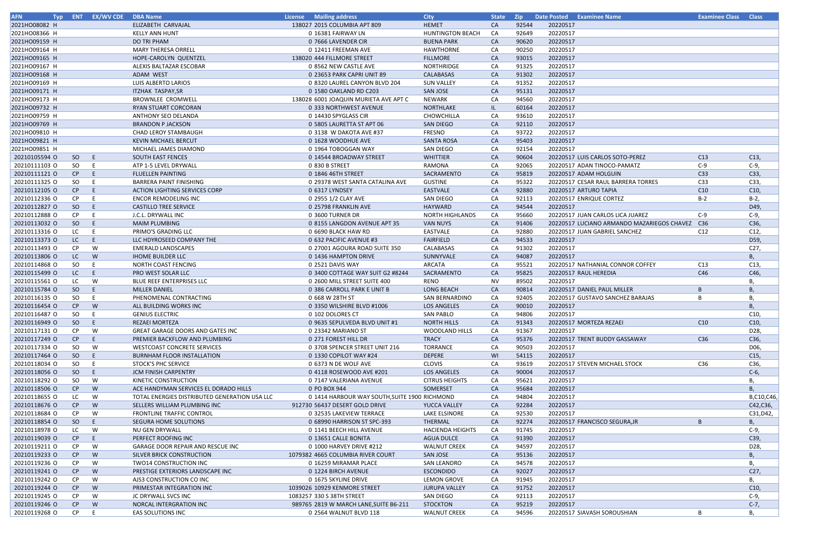| <b>AFN</b>    | <b>Typ</b> | <b>ENT EX/WV CDE DBA Name</b> |                                               | License Mailing address                       | <b>City</b>             | <b>State</b> | <b>Zip</b> |          | Date Posted Examinee Name                      | <b>Examinee Class Class</b> |                 |
|---------------|------------|-------------------------------|-----------------------------------------------|-----------------------------------------------|-------------------------|--------------|------------|----------|------------------------------------------------|-----------------------------|-----------------|
| 2021HO08082 H |            |                               | ELIZABETH CARVAJAL                            | 138027 2015 COLUMBIA APT 809                  | <b>HEMET</b>            | <b>CA</b>    | 92544      | 20220517 |                                                |                             |                 |
| 2021HO08366 H |            |                               | <b>KELLY ANN HUNT</b>                         | 0 16381 FAIRWAY LN                            | HUNTINGTON BEACH        | CA           | 92649      | 20220517 |                                                |                             |                 |
| 2021HO09159 H |            |                               | DO TRI PHAM                                   | 0 7666 LAVENDER CIR                           | <b>BUENA PARK</b>       | CA           | 90620      | 20220517 |                                                |                             |                 |
| 2021HO09164 H |            |                               | <b>MARY THERESA ORRELL</b>                    | 0 12411 FREEMAN AVE                           | HAWTHORNE               | CA           | 90250      | 20220517 |                                                |                             |                 |
| 2021HO09165 H |            |                               | HOPE-CAROLYN QUENTZEL                         | 138020 444 FILLMORE STREET                    | <b>FILLMORE</b>         | CA           | 93015      | 20220517 |                                                |                             |                 |
| 2021HO09167 H |            |                               | ALEXIS BALTAZAR ESCOBAR                       | 0 8562 NEW CASTLE AVE                         | <b>NORTHRIDGE</b>       | CA           | 91325      | 20220517 |                                                |                             |                 |
| 2021HO09168 H |            |                               | ADAM WEST                                     | 0 23653 PARK CAPRI UNIT 89                    | CALABASAS               | CA           | 91302      | 20220517 |                                                |                             |                 |
| 2021HO09169 H |            |                               | LUIS ALBERTO LARIOS                           | 0 8320 LAUREL CANYON BLVD 204                 | <b>SUN VALLEY</b>       | CA           | 91352      | 20220517 |                                                |                             |                 |
| 2021HO09171 H |            |                               | <b>ITZHAK TASPAY,SR</b>                       | 0 1580 OAKLAND RD C203                        | SAN JOSE                | CA           | 95131      | 20220517 |                                                |                             |                 |
| 2021HO09173 H |            |                               | BROWNLEE CROMWELL                             | 138028 6001 JOAQUIN MURIETA AVE APT C         | NEWARK                  | CA           | 94560      | 20220517 |                                                |                             |                 |
| 2021HO09732 H |            |                               | RYAN STUART CORCORAN                          | 0 333 NORTHWEST AVENUE                        | NORTHLAKE               | IL.          | 60164      | 20220517 |                                                |                             |                 |
| 2021HO09759 H |            |                               | ANTHONY SEO DELANDA                           | 0 14430 SPYGLASS CIR                          | <b>CHOWCHILLA</b>       | CA           | 93610      | 20220517 |                                                |                             |                 |
| 2021HO09769 H |            |                               | <b>BRANDON P JACKSON</b>                      | 0 5805 LAURETTA ST APT 06                     | <b>SAN DIEGO</b>        | CA           | 92110      | 20220517 |                                                |                             |                 |
| 2021HO09810 H |            |                               | CHAD LEROY STAMBAUGH                          | 0 3138 W DAKOTA AVE #37                       | FRESNO                  | CA           | 93722      | 20220517 |                                                |                             |                 |
| 2021HO09821 H |            |                               | KEVIN MICHAEL BERCUT                          | 0 1628 WOODHUE AVE                            | <b>SANTA ROSA</b>       | CA           | 95403      | 20220517 |                                                |                             |                 |
| 2021HO09851 H |            |                               | MICHAEL JAMES DIAMOND                         | 0 1964 TOBOGGAN WAY                           | SAN DIEGO               | CA           | 92154      | 20220517 |                                                |                             |                 |
| 20210105594 O | SO         | E.                            | <b>SOUTH EAST FENCES</b>                      | 0 14544 BROADWAY STREET                       | <b>WHITTIER</b>         | CA           | 90604      |          | 20220517 LUIS CARLOS SOTO-PEREZ                | C13                         | C13,            |
| 20210111103 O | SO         | E.                            | ATP 1-5 LEVEL DRYWALL                         | 0 830 B STREET                                | RAMONA                  | CA           | 92065      |          | 20220517 ADAN TINOCO-PAMATZ                    | $C-9$                       | $C-9,$          |
| 20210111121 0 | CP         | E.                            | <b>FLUELLEN PAINTING</b>                      | 0 1846 46TH STREET                            | SACRAMENTO              | CA           | 95819      |          | 20220517 ADAM HOLGUIN                          | C33                         | C33,            |
| 20210111325 O | SO         | E                             | <b>BARRERA PAINT FINISHING</b>                | 0 29378 WEST SANTA CATALINA AVE               | <b>GUSTINE</b>          | CA           | 95322      |          | 20220517 CESAR RAUL BARRERA TORRES             | C <sub>33</sub>             | C33,            |
| 20210112105 O | CP         | E                             | <b>ACTION LIGHTING SERVICES CORP</b>          | 0 6317 LYNDSEY                                | <b>EASTVALE</b>         | CA           | 92880      |          | 20220517 ARTURO TAPIA                          | C10                         | C10,            |
| 20210112336 O | CP         |                               | <b>ENCOR REMODELING INC</b>                   | 0 2955 1/2 CLAY AVE                           | <b>SAN DIEGO</b>        | CA           | 92113      |          | 20220517 ENRIQUE CORTEZ                        | $B-2$                       | $B-2$ ,         |
| 20210112827 O | SO         | E.                            | <b>CASTILLO TREE SERVICE</b>                  | 0 25798 FRANKLIN AVE                          | HAYWARD                 | CA           | 94544      | 20220517 |                                                |                             | D49,            |
| 20210112888 O | CP         | E                             | J.C.L. DRYWALL INC                            | 0 3600 TURNER DR                              | <b>NORTH HIGHLANDS</b>  | CA           | 95660      |          | 20220517 JUAN CARLOS LICA JUAREZ               | $C-9$                       | C-9,            |
| 20210113032 O | SO         | E                             | <b>MAIM PLUMBING</b>                          | 0 8155 LANGDON AVENUE APT 35                  | <b>VAN NUYS</b>         | CA           | 91406      |          | 20220517 LUCIANO ARMANDO MAZARIEGOS CHAVEZ C36 |                             | C36,            |
| 20210113316 O | LC         | E                             | PRIMO'S GRADING LLC                           | 0 6690 BLACK HAW RD                           | EASTVALE                | CA           | 92880      |          | 20220517 JUAN GABRIEL SANCHEZ                  | C12                         | C12,            |
| 20210113373 O | LC         | E.                            | LLC HDYROSEED COMPANY THE                     | 0 632 PACIFIC AVENUE #3                       | <b>FAIRFIELD</b>        | CA           | 94533      | 20220517 |                                                |                             | D59,            |
| 20210113493 O | CP.        | W                             | <b>EMERALD LANDSCAPES</b>                     | 0 27001 AGOURA ROAD SUITE 350                 | CALABASAS               | CA           | 91302      | 20220517 |                                                |                             | C27,            |
| 20210113806 O | LC         | W                             | <b>IHOME BUILDER LLC</b>                      | 0 1436 HAMPTON DRIVE                          | SUNNYVALE               | CA           | 94087      | 20220517 |                                                |                             | В,              |
| 20210114868 O | SO         |                               | <b>NORTH COAST FENCING</b>                    | 0 2521 DAVIS WAY                              | <b>ARCATA</b>           | CA           | 95521      |          | 20220517 NATHANIAL CONNOR COFFEY               | C13                         | C13,            |
| 20210115499 O | LC         | E.                            | PRO WEST SOLAR LLC                            | 0 3400 COTTAGE WAY SUIT G2 #8244              | SACRAMENTO              | CA           | 95825      |          | 20220517 RAUL HEREDIA                          | C46                         | C46,            |
| 20210115561 O | LC.        | W                             | <b>BLUE REEF ENTERPRISES LLC</b>              | 0 2600 MILL STREET SUITE 400                  | RENO                    | <b>NV</b>    | 89502      | 20220517 |                                                |                             |                 |
| 20210115784 O | SO         | E.                            | <b>MILLER DANIEL</b>                          | 0 386 CARROLL PARK E UNIT B                   | <b>LONG BEACH</b>       | CA           | 90814      |          | 20220517 DANIEL PAUL MILLER                    | B                           | Β.              |
| 20210116135 O | SO.        | E                             | PHENOMENAL CONTRACTING                        | 0 668 W 28TH ST                               | SAN BERNARDINO          | CA           | 92405      |          | 20220517 GUSTAVO SANCHEZ BARAJAS               |                             | В,              |
| 20210116454 O | CP         | W                             | ALL BUILDING WORKS INC                        | 0 3350 WILSHIRE BLVD #1006                    | LOS ANGELES             | <b>CA</b>    | 90010      | 20220517 |                                                |                             | В,              |
| 20210116487 O | SO.        |                               | <b>GENIUS ELECTRIC</b>                        | 0 102 DOLORES CT                              | <b>SAN PABLO</b>        | CA           | 94806      | 20220517 |                                                |                             | C10,            |
| 20210116949 O | SO         | E.                            | <b>REZAEI MORTEZA</b>                         | 0 9635 SEPULVEDA BLVD UNIT #1                 | <b>NORTH HILLS</b>      | CA           | 91343      |          | 20220517 MORTEZA REZAEI                        | C10                         | C10,            |
| 20210117131 0 | CP         | W                             | GREAT GARAGE DOORS AND GATES INC              | 0 23342 MARIANO ST                            | <b>WOODLAND HILLS</b>   | CA           | 91367      | 20220517 |                                                |                             | D28,            |
| 20210117249 O | CP         | E.                            | PREMIER BACKFLOW AND PLUMBING                 | 0 271 FOREST HILL DR                          | <b>TRACY</b>            | <b>CA</b>    | 95376      |          | 20220517 TRENT BUDDY GASSAWAY                  | C36                         | C36,            |
| 20210117334 O | SO         | W                             | <b>WESTCOAST CONCRETE SERVICES</b>            | 0 3708 SPENCER STREET UNIT 216                | <b>TORRANCE</b>         | CA           | 90503      | 20220517 |                                                |                             | D06,            |
| 20210117464 O | SO         | E.                            | <b>BURNHAM FLOOR INSTALLATION</b>             | 0 1330 COPILOT WAY #24                        | <b>DEPERE</b>           | WI           | 54115      | 20220517 |                                                |                             | C <sub>15</sub> |
| 20210118034 O | SO.        | E                             | <b>STOCK'S PHC SERVICE</b>                    | 0 6373 N DE WOLF AVE                          | <b>CLOVIS</b>           | CA           | 93619      |          | 20220517 STEVEN MICHAEL STOCK                  | C36                         | C36,            |
| 20210118056 O | SO         | E.                            | <b>JCM FINISH CARPENTRY</b>                   | 0 4118 ROSEWOOD AVE #201                      | LOS ANGELES             | CA           | 90004      | 20220517 |                                                |                             | $C-6$ ,         |
| 20210118292 O | SO.        | W                             | KINETIC CONSTRUCTION                          | 0 7147 VALERIANA AVENUE                       | <b>CITRUS HEIGHTS</b>   | CA           | 95621      | 20220517 |                                                |                             | В,              |
| 20210118506 O | CP         | W                             | ACE HANDYMAN SERVICES EL DORADO HILLS         | 0 PO BOX 944                                  | SOMERSET                | CA           | 95684      | 20220517 |                                                |                             | В.              |
| 20210118655 O | LC         | W                             | TOTAL ENERGIES DISTRIBUTED GENERATION USA LLC | 0 1414 HARBOUR WAY SOUTH, SUITE 1900 RICHMOND |                         | CA           | 94804      | 20220517 |                                                |                             | B,C10,C46,      |
| 20210118676 O | CP         | W                             | SELLERS WILLIAM PLUMBING INC                  | 912730 56437 DESERT GOLD DRIVE                | YUCCA VALLEY            | <b>CA</b>    | 92284      | 20220517 |                                                |                             | C42, C36,       |
| 20210118684 O | CP.        | W                             | <b>FRONTLINE TRAFFIC CONTROL</b>              | 0 32535 LAKEVIEW TERRACE                      | LAKE ELSINORE           | CA           | 92530      | 20220517 |                                                |                             | C31, D42,       |
| 20210118854 O | SO         | E.                            | SEGURA HOME SOLUTIONS                         | 0 68990 HARRISON ST SPC-393                   | THERMAL                 | CA           | 92274      |          | 20220517 FRANCISCO SEGURA, JR                  | B.                          | В,              |
| 20210118978 O | LC.        | W                             | <b>NU GEN DRYWALL</b>                         | 0 1141 BEECH HILL AVENUE                      | <b>HACIENDA HEIGHTS</b> | CA           | 91745      | 20220517 |                                                |                             | $C-9,$          |
| 20210119039 O | CP         | E.                            | PERFECT ROOFING INC                           | 0 13651 CALLE BONITA                          | <b>AGUA DULCE</b>       | <b>CA</b>    | 91390      | 20220517 |                                                |                             | C39,            |
| 20210119211 O | CP         | W                             | <b>GARAGE DOOR REPAIR AND RESCUE INC</b>      | 0 1000 HARVEY DRIVE #212                      | <b>WALNUT CREEK</b>     | CA           | 94597      | 20220517 |                                                |                             | D28,            |
| 20210119233 O | CP         | W                             | SILVER BRICK CONSTRUCTION                     | 1079382 4665 COLUMBIA RIVER COURT             | SAN JOSE                | CA           | 95136      | 20220517 |                                                |                             | В,              |
| 20210119236 O | CP.        | W                             | <b>TWO14 CONSTRUCTION INC</b>                 | 0 16259 MIRAMAR PLACE                         | SAN LEANDRO             | CA           | 94578      | 20220517 |                                                |                             | В,              |
| 20210119241 O | CP         | W                             | PRESTIGE EXTERIORS LANDSCAPE INC              | 0 1224 BIRCH AVENUE                           | <b>ESCONDIDO</b>        | CA           | 92027      | 20220517 |                                                |                             | C27,            |
| 20210119242 O | CP.        | W                             | AJS3 CONSTRUCTION CO INC                      | 0 1675 SKYLINE DRIVE                          | LEMON GROVE             | CA           | 91945      | 20220517 |                                                |                             |                 |
| 20210119244 O | CP         | W                             | PRIMESTAR INTEGRATION INC                     | 1039026 10929 KENMORE STREET                  | <b>JURUPA VALLEY</b>    | CA           | 91752      | 20220517 |                                                |                             | В,<br>C10,      |
| 20210119245 O | <b>CP</b>  | W                             | JC DRYWALL SVCS INC                           | 1083257 330 S 38TH STREET                     | SAN DIEGO               | CA           | 92113      | 20220517 |                                                |                             | C-9,            |
| 20210119246 O | CP         | W                             | NORCAL INTERGRATION INC                       | 989765 2819 W MARCH LANE, SUITE B6-211        | <b>STOCKTON</b>         | CA           | 95219      | 20220517 |                                                |                             | $C-7,$          |
| 20210119268 O | CP.        | E.                            | EAS SOLUTIONS INC                             | 0 2564 WALNUT BLVD 118                        | <b>WALNUT CREEK</b>     | CA           | 94596      |          | 20220517 SIAVASH SOROUSHIAN                    | B                           | В,              |
|               |            |                               |                                               |                                               |                         |              |            |          |                                                |                             |                 |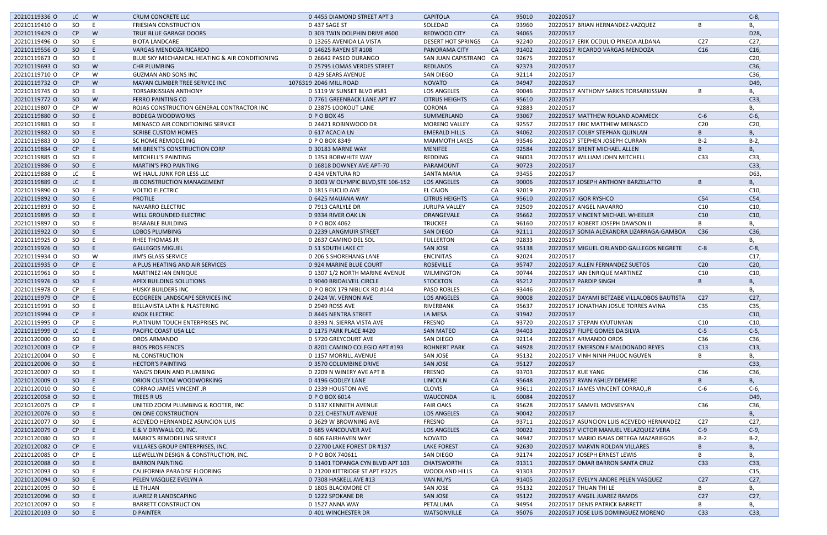| 20210119336 O | LC.       | W   | <b>CRUM CONCRETE LLC</b>                       | 0 4455 DIAMOND STREET APT 3        | <b>CAPITOLA</b>        | <b>CA</b> | 95010 | 20220517                                    |                 | $C-8$           |
|---------------|-----------|-----|------------------------------------------------|------------------------------------|------------------------|-----------|-------|---------------------------------------------|-----------------|-----------------|
| 20210119410 O | SO        |     | <b>FRIESIAN CONSTRUCTION</b>                   | 0 437 SAGE ST                      | SOLEDAD                | CA        | 93960 | 20220517 BRIAN HERNANDEZ-VAZQUEZ            | B               | В,              |
| 20210119429 O | CP        | W   | TRUE BLUE GARAGE DOORS                         | 0 303 TWIN DOLPHIN DRIVE #600      | <b>REDWOOD CITY</b>    | CA        | 94065 | 20220517                                    |                 | D28,            |
| 20210119496 O | SO        |     | <b>BIOTA LANDCARE</b>                          | 0 13265 AVENIDA LA VISTA           | DESERT HOT SPRINGS     | CA        | 92240 | 20220517 ERIK OCDULIO PINEDA ALDANA         | C <sub>27</sub> | C27,            |
| 20210119556 O | SO        | F   | VARGAS MENDOZA RICARDO                         | 0 14625 RAYEN ST #108              | PANORAMA CITY          | CA        | 91402 | 20220517 RICARDO VARGAS MENDOZA             | C16             | C16,            |
| 20210119673 O | SO.       |     | BLUE SKY MECHANICAL HEATING & AIR CONDITIONING | 0 26642 PASEO DURANGO              | SAN JUAN CAPISTRANO CA |           | 92675 | 20220517                                    |                 | C20,            |
| 20210119693 O | SO        | W   | <b>CHR PLUMBING</b>                            | 0 25795 LOMAS VERDES STREET        | <b>REDLANDS</b>        | CA        | 92373 | 20220517                                    |                 | C36,            |
| 20210119710 O | <b>CP</b> | W   | <b>GUZMAN AND SONS INC</b>                     | 0 429 SEARS AVENUE                 | SAN DIEGO              | CA        | 92114 | 20220517                                    |                 | C36,            |
| 20210119732 O | CP        | W   | MAYAN CLIMBER TREE SERVICE INC                 | 1076319 2046 MILL ROAD             | <b>NOVATO</b>          | CA        | 94947 | 20220517                                    |                 | D49,            |
| 20210119745 O | SO        |     | <b>TORSARKISSIAN ANTHONY</b>                   | 0 5119 W SUNSET BLVD #581          | <b>LOS ANGELES</b>     | CA        | 90046 | 20220517 ANTHONY SARKIS TORSARKISSIAN       | B               |                 |
|               |           |     |                                                |                                    |                        |           |       |                                             |                 | В,              |
| 20210119772 O | SO        | W   | FERRO PAINTING CO                              | 0 7761 GREENBACK LANE APT #7       | <b>CITRUS HEIGHTS</b>  | CA        | 95610 | 20220517                                    |                 | C33,            |
| 20210119807 O | <b>CP</b> | W   | ROJAS CONSTRUCTION GENERAL CONTRACTOR INC      | 0 23875 LOOKOUT LANE               | CORONA                 | CA        | 92883 | 20220517                                    |                 | В,              |
| 20210119880 O | SO        | E   | <b>BODEGA WOODWORKS</b>                        | 0 P O BOX 45                       | SUMMERLAND             | CA        | 93067 | 20220517 MATTHEW ROLAND ADAMECK             | $C-6$           | $C-6$ ,         |
| 20210119881 O | SO.       |     | MENASCO AIR CONDITIONING SERVICE               | 0 24421 ROBINWOOD DR               | <b>MORENO VALLEY</b>   | CA        | 92557 | 20220517 ERIC MATTHEW MENASCO               | C <sub>20</sub> | C20             |
| 20210119882 O | SO        |     | <b>SCRIBE CUSTOM HOMES</b>                     | 0 617 ACACIA LN                    | <b>EMERALD HILLS</b>   | CA        | 94062 | 20220517 COLBY STEPHAN QUINLAN              | B               | В,              |
| 20210119883 O | SO.       |     | SC HOME REMODELING                             | 0 P O BOX 8349                     | <b>MAMMOTH LAKES</b>   | CA        | 93546 | 20220517 STEPHEN JOSEPH CURRAN              | $B-2$           | $B-2$           |
| 20210119884 O | CP        |     | MR BRENT'S CONSTRUCTION CORP                   | 0 30183 MARNE WAY                  | <b>MENIFEE</b>         | CA        | 92584 | 20220517 BRENT MICHAEL ALLEN                | B               | В,              |
| 20210119885 O | SO        |     | MITCHELL'S PAINTING                            | 0 1353 BOBWHITE WAY                | REDDING                | CA        | 96003 | 20220517 WILLIAM JOHN MITCHELL              | C <sub>33</sub> | C33,            |
| 20210119886 O | SO        | E   | <b>MARTIN'S PRO PAINTING</b>                   | 0 16818 DOWNEY AVE APT-70          | PARAMOUNT              | <b>CA</b> | 90723 | 20220517                                    |                 | C33,            |
| 20210119888 O | LC        | F   | WE HAUL JUNK FOR LESS LLC                      | 0 434 VENTURA RD                   | <b>SANTA MARIA</b>     | CA        | 93455 | 20220517                                    |                 | D63,            |
| 20210119889 O | LC        | E   | JB CONSTRUCTION MANAGEMENT                     | 0 3003 W OLYMPIC BLVD, STE 106-152 | <b>LOS ANGELES</b>     | CA        | 90006 | 20220517 JOSEPH ANTHONY BARZELATTO          | B               | В,              |
| 20210119890 O | SO.       |     | <b>VOLTIO ELECTRIC</b>                         | 0 1815 EUCLID AVE                  | <b>EL CAJON</b>        | CA        | 92019 | 20220517                                    |                 | C10,            |
| 20210119892 O | SO        | E   | <b>PROTILE</b>                                 |                                    | <b>CITRUS HEIGHTS</b>  | <b>CA</b> | 95610 |                                             | C54             |                 |
|               |           |     |                                                | 0 6425 MAUANA WAY                  |                        |           |       | 20220517 IGOR RYSHCO                        |                 | C54,            |
| 20210119893 O | SO.       |     | <b>NAVARRO ELECTRIC</b>                        | 0 7913 CARLYLE DR                  | <b>JURUPA VALLEY</b>   | CA        | 92509 | 20220517 ANGEL NAVARRO                      | C10             | C10,            |
| 20210119895 O | SO        | E   | WELL GROUNDED ELECTRIC                         | 0 9334 RIVER OAK LN                | ORANGEVALE             | CA        | 95662 | 20220517 VINCENT MICHAEL WHEELER            | C10             | C10,            |
| 20210119897 O | SO.       |     | <b>BEARABLE BUILDING</b>                       | 0 P O BOX 4062                     | <b>TRUCKEE</b>         | CA        | 96160 | 20220517 ROBERT JOSEPH DAWSON II            | B               | В,              |
| 20210119922 O | SO        | E   | <b>LOBOS PLUMBING</b>                          | 0 2239 LANGMUIR STREET             | <b>SAN DIEGO</b>       | CA        | 92111 | 20220517 SONIA ALEXANDRA LIZARRAGA-GAMBOA   | C <sub>36</sub> | C36,            |
| 20210119925 O | SO.       |     | <b>RHEE THOMAS JR</b>                          | 0 2637 CAMINO DEL SOL              | <b>FULLERTON</b>       | CA        | 92833 | 20220517                                    |                 | В,              |
| 20210119926 O | SO        | F   | <b>GALLEGOS MIGUEL</b>                         | 0 51 SOUTH LAKE CT                 | <b>SAN JOSE</b>        | CA        | 95138 | 20220517 MIGUEL ORLANDO GALLEGOS NEGRETE    | $C-8$           | $C-8$ ,         |
| 20210119934 O | SO.       | W   | <b>JIM'S GLASS SERVICE</b>                     | 0 206 S SHOREHANG LANE             | <b>ENCINITAS</b>       | CA        | 92024 | 20220517                                    |                 | C17             |
| 20210119935 O | CP        | F   | A PLUS HEATING AND AIR SERVICES                | 0 924 MARINE BLUE COURT            | <b>ROSEVILLE</b>       | CA        | 95747 | 20220517 ALLEN FERNANDEZ SUETOS             | C <sub>20</sub> | C <sub>20</sub> |
| 20210119961 O | SO.       |     | <b>MARTINEZ IAN ENRIQUE</b>                    | 0 1307 1/2 NORTH MARINE AVENUE     | <b>WILMINGTON</b>      | CA        | 90744 | 20220517 IAN ENRIQUE MARTINEZ               | C10             | C10,            |
| 20210119976 O | SO        | E   | APEX BUILDING SOLUTIONS                        | 0 9040 BRIDALVEIL CIRCLE           | <b>STOCKTON</b>        | CA        | 95212 | 20220517 PARDIP SINGH                       | B               | В,              |
| 20210119978 O | CP.       |     | HUSKY BUILDERS INC                             | 0 P O BOX 179 NIBLICK RD #144      | PASO ROBLES            | CA        | 93446 | 20220517                                    |                 | Β,              |
| 20210119979 O | CP        | E   | ECOGREEN LANDSCAPE SERVICES INC                | 0 2424 W. VERNON AVE               | <b>LOS ANGELES</b>     | <b>CA</b> | 90008 | 20220517 DAYAMI BETZABE VILLALOBOS BAUTISTA | C <sub>27</sub> | C27,            |
| 20210119991 O | SO.       |     | BELLAVISTA LATH & PLASTERING                   | 0 2949 ROSS AVE                    | RIVERBANK              | CA        | 95637 | 20220517 JONATHAN JOSUE TORRES AVINA        | C <sub>35</sub> | C35,            |
|               |           |     |                                                |                                    |                        |           |       |                                             |                 |                 |
| 20210119994 O | CP        | E   | KNOX ELECTRIC                                  | 0 8445 NENTRA STREET               | LA MESA                | CA        | 91942 | 20220517                                    |                 | C10,            |
| 20210119995 O | CP.       |     | PLATINUM TOUCH ENTERPRISES INC                 | 0 8393 N. SIERRA VISTA AVE         | <b>FRESNO</b>          | CA        | 93720 | 20220517 STEPAN KYUTUNYAN                   | C10             | C10,            |
| 20210119999 O | LC        | E   | PACIFIC COAST USA LLC                          | 0 1175 PARK PLACE #420             | <b>SAN MATEO</b>       | CA        | 94403 | 20220517 FILIPE GOMES DA SILVA              | $C-5$           | $C-5$ ,         |
| 20210120000 O | SO        |     | OROS ARMANDO                                   | 0 5720 GREYCOURT AVE               | SAN DIEGO              | CA        | 92114 | 20220517 ARMANDO OROS                       | C36             | C36,            |
| 20210120003 O | CP        | E   | <b>BROS PROS FENCES</b>                        | 0 8201 CAMINO COLEGIO APT #193     | <b>ROHNERT PARK</b>    | <b>CA</b> | 94928 | 20220517 EMERSON F MALDONADO REYES          | C13             | C13,            |
| 20210120004 O | SO        | - E | NL CONSTRUCTION                                | 0 1157 MORRILL AVENUE              | <b>SAN JOSE</b>        | CA        | 95132 | 20220517 VINH NINH PHUOC NGUYEN             | B               | В,              |
| 20210120006 O | SO        | E   | <b>HECTOR'S PAINTING</b>                       | 0 3570 COLUMBINE DRIVE             | SAN JOSE               | CA        | 95127 | 20220517                                    |                 | C33,            |
| 20210120007 O | SO        |     | YANG'S DRAIN AND PLUMBING                      | 0 2209 N WINERY AVE APT B          | FRESNO                 | CA        | 93703 | 20220517 XUE YANG                           | C36             | C36,            |
| 20210120009 O | SO        | E.  | ORION CUSTOM WOODWORKING                       | 0 4196 GODLEY LANE                 | LINCOLN                | CA        | 95648 | 20220517 RYAN ASHLEY DEMERE                 | B               | В,              |
| 20210120010 O | SO.       |     | <b>CORRAO JAMES VINCENT JR</b>                 | 0 2339 HOUSTON AVE                 | <b>CLOVIS</b>          | CA        | 93611 | 20220517 JAMES VINCENT CORRAO, JR           | $C-6$           | $C-6$ ,         |
| 20210120058 O | SO        | E   | TREES R US                                     | 0 P O BOX 6014                     | WAUCONDA               | IL.       | 60084 | 20220517                                    |                 | D49,            |
| 20210120075 O | <b>CP</b> |     | UNITED ZOOM PLUMBING & ROOTER, INC             | 0 5137 KENNETH AVENUE              | <b>FAIR OAKS</b>       | CA        | 95628 | 20220517 SAMVEL MOVSESYAN                   | C36             | C36,            |
| 20210120076 O | SO        | E   | ON ONE CONSTRUCTION                            | 0 221 CHESTNUT AVENUE              | LOS ANGELES            | CA        | 90042 | 20220517                                    |                 | В,              |
| 20210120077 O | SO        |     | ACEVEDO HERNANDEZ ASUNCION LUIS                | 0 3629 W BROWNING AVE              | <b>FRESNO</b>          | CA        | 93711 | 20220517 ASUNCION LUIS ACEVEDO HERNANDEZ    | C <sub>27</sub> | C27,            |
|               |           |     |                                                |                                    |                        |           |       |                                             |                 |                 |
| 20210120079 O | CP        | E   | E & V DRYWALL CO, INC.                         | 0 685 VANCOUVER AVE                | LOS ANGELES            | CA        | 90022 | 20220517 VICTOR MANUEL VELAZQUEZ VERA       | $C-9$           | $C-9$ ,         |
| 20210120080 O | SO.       |     | MARIO'S REMODELING SERVICE                     | 0 606 FAIRHAVEN WAY                | <b>NOVATO</b>          | CA        | 94947 | 20220517 MARIO ISAIAS ORTEGA MAZARIEGOS     | $B-2$           | $B-2$           |
| 20210120082 O | CP        | E   | VILLARES GROUP ENTERPRISES, INC.               | 0 22700 LAKE FOREST DR #137        | <b>LAKE FOREST</b>     | CA        | 92630 | 20220517 MARVIN ROLDAN VILLARES             | B               | В,              |
| 20210120085 O | CP.       |     | LLEWELLYN DESIGN & CONSTRUCTION, INC.          | 0 P O BOX 740611                   | SAN DIEGO              | CA        | 92174 | 20220517 JOSEPH ERNEST LEWIS                | B               | В,              |
| 20210120088 O | SO        | E   | <b>BARRON PAINTING</b>                         | 0 11401 TOPANGA CYN BLVD APT 103   | <b>CHATSWORTH</b>      | CA        | 91311 | 20220517 OMAR BARRON SANTA CRUZ             | C33             | C33,            |
| 20210120093 O | SO.       |     | CALIFORNIA PARADISE FLOORING                   | 0 21200 KITTRIDGE ST APT #3225     | <b>WOODLAND HILLS</b>  | CA        | 91303 | 20220517                                    |                 | C15,            |
| 20210120094 O | SO        | E   | PELEN VASQUEZ EVELYN A                         | 0 7308 HASKELL AVE #13             | <b>VAN NUYS</b>        | <b>CA</b> | 91405 | 20220517 EVELYN ANDRE PELEN VASQUEZ         | C <sub>27</sub> | C27,            |
| 20210120095 O | SO.       |     | LE THUAN                                       | 0 1805 BLACKMORE CT                | SAN JOSE               | CA        | 95132 | 20220517 THUAN THI LE                       | B               | В,              |
| 20210120096 O | SO        | E   | JUAREZ R LANDSCAPING                           | 0 1222 SPOKANE DR                  | SAN JOSE               | CA        | 95122 | 20220517 ANGEL JUAREZ RAMOS                 | C <sub>27</sub> | C27,            |
| 20210120097 O | SO.       |     | <b>BARRETT CONSTRUCTION</b>                    | 0 1527 ANNA WAY                    | PETALUMA               | CA        | 94954 | 20220517 DENIS PATRICK BARRETT              | B               | В,              |
| 20210120103 O | SO        | E   | <b>D PAINTER</b>                               | 0 401 WINCHESTER DR                | WATSONVILLE            | CA        | 95076 | 20220517 JOSE LUIS DOMINGUEZ MORENO         | C <sub>33</sub> | C33,            |
|               |           |     |                                                |                                    |                        |           |       |                                             |                 |                 |